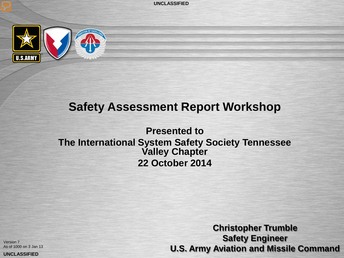**UNCLASSIFIED** 



### **Safety Assessment Report Workshop**

**Presented to The International System Safety Society Tennessee Valley Chapter 22 October 2014**

Version 7 As of 1000 on 3 Jan 13

UNCLASSIFIED

**Christopher Trumble Safety Engineer U.S. Army Aviation and Missile Command**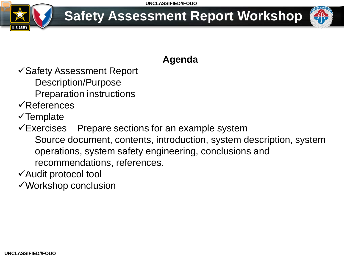

### **Agenda**

Safety Assessment Report Description/Purpose

- Preparation instructions
- References
- $\checkmark$  Template
- $\checkmark$ Exercises Prepare sections for an example system Source document, contents, introduction, system description, system operations, system safety engineering, conclusions and recommendations, references.
- Audit protocol tool

Workshop conclusion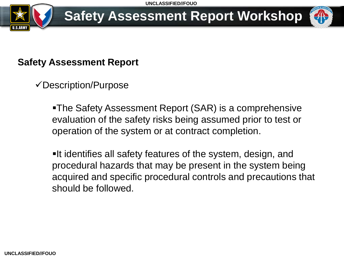

### **Safety Assessment Report**

Description/Purpose

The Safety Assessment Report (SAR) is a comprehensive evaluation of the safety risks being assumed prior to test or operation of the system or at contract completion.

**It identifies all safety features of the system, design, and** procedural hazards that may be present in the system being acquired and specific procedural controls and precautions that should be followed.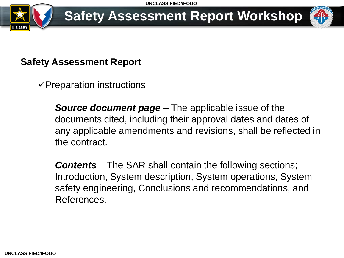

#### **Safety Assessment Report**

 $\checkmark$ Preparation instructions

*Source document page* – The applicable issue of the documents cited, including their approval dates and dates of any applicable amendments and revisions, shall be reflected in the contract.

*Contents* – The SAR shall contain the following sections; Introduction, System description, System operations, System safety engineering, Conclusions and recommendations, and References.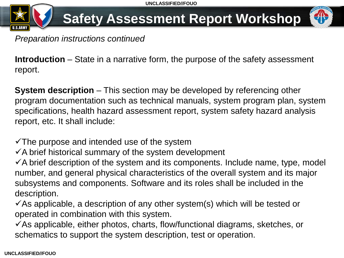

**Introduction** – State in a narrative form, the purpose of the safety assessment report.

**System description** – This section may be developed by referencing other program documentation such as technical manuals, system program plan, system specifications, health hazard assessment report, system safety hazard analysis report, etc. It shall include:

 $\checkmark$  The purpose and intended use of the system

 $\checkmark$  A brief historical summary of the system development

 $\checkmark$  A brief description of the system and its components. Include name, type, model number, and general physical characteristics of the overall system and its major subsystems and components. Software and its roles shall be included in the description.

 $\checkmark$  As applicable, a description of any other system(s) which will be tested or operated in combination with this system.

 $\checkmark$  As applicable, either photos, charts, flow/functional diagrams, sketches, or schematics to support the system description, test or operation.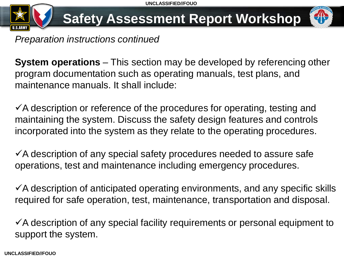

*Preparation instructions continued*

**System operations** – This section may be developed by referencing other program documentation such as operating manuals, test plans, and maintenance manuals. It shall include:

 $\checkmark$  A description or reference of the procedures for operating, testing and maintaining the system. Discuss the safety design features and controls incorporated into the system as they relate to the operating procedures.

 $\checkmark$  A description of any special safety procedures needed to assure safe operations, test and maintenance including emergency procedures.

 $\checkmark$  A description of anticipated operating environments, and any specific skills required for safe operation, test, maintenance, transportation and disposal.

 $\checkmark$  A description of any special facility requirements or personal equipment to support the system.

**UNCLASSIFIED//FOUO**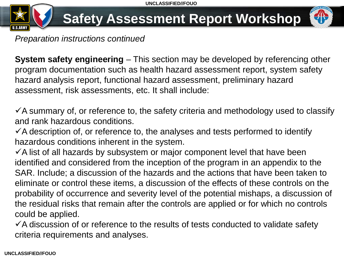

*Preparation instructions continued*

**System safety engineering** – This section may be developed by referencing other program documentation such as health hazard assessment report, system safety hazard analysis report, functional hazard assessment, preliminary hazard assessment, risk assessments, etc. It shall include:

 $\checkmark$  A summary of, or reference to, the safety criteria and methodology used to classify and rank hazardous conditions.

 $\checkmark$  A description of, or reference to, the analyses and tests performed to identify hazardous conditions inherent in the system.

 $\checkmark$  A list of all hazards by subsystem or major component level that have been identified and considered from the inception of the program in an appendix to the SAR. Include; a discussion of the hazards and the actions that have been taken to eliminate or control these items, a discussion of the effects of these controls on the probability of occurrence and severity level of the potential mishaps, a discussion of the residual risks that remain after the controls are applied or for which no controls could be applied.

 $\checkmark$  A discussion of or reference to the results of tests conducted to validate safety criteria requirements and analyses.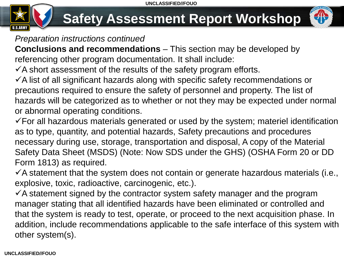

#### *Preparation instructions continued*

**Conclusions and recommendations** – This section may be developed by referencing other program documentation. It shall include:

 $\checkmark$  A short assessment of the results of the safety program efforts.

 $\checkmark$  A list of all significant hazards along with specific safety recommendations or precautions required to ensure the safety of personnel and property. The list of hazards will be categorized as to whether or not they may be expected under normal or abnormal operating conditions.

 $\checkmark$  For all hazardous materials generated or used by the system; materiel identification as to type, quantity, and potential hazards, Safety precautions and procedures necessary during use, storage, transportation and disposal, A copy of the Material Safety Data Sheet (MSDS) (Note: Now SDS under the GHS) (OSHA Form 20 or DD Form 1813) as required.

 $\checkmark$  A statement that the system does not contain or generate hazardous materials (i.e., explosive, toxic, radioactive, carcinogenic, etc.).

 $\checkmark$  A statement signed by the contractor system safety manager and the program manager stating that all identified hazards have been eliminated or controlled and that the system is ready to test, operate, or proceed to the next acquisition phase. In addition, include recommendations applicable to the safe interface of this system with other system(s).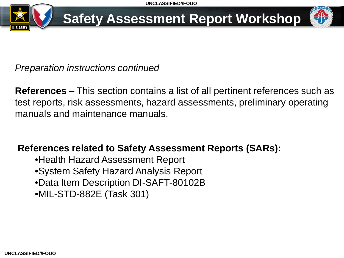

*Preparation instructions continued*

**References** – This section contains a list of all pertinent references such as test reports, risk assessments, hazard assessments, preliminary operating manuals and maintenance manuals.

#### **References related to Safety Assessment Reports (SARs):**

•Health Hazard Assessment Report •System Safety Hazard Analysis Report •Data Item Description DI-SAFT-80102B •MIL-STD-882E (Task 301)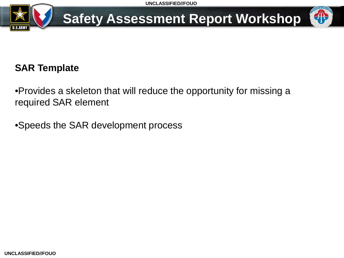

#### **SAR Template**

•Provides a skeleton that will reduce the opportunity for missing a required SAR element

•Speeds the SAR development process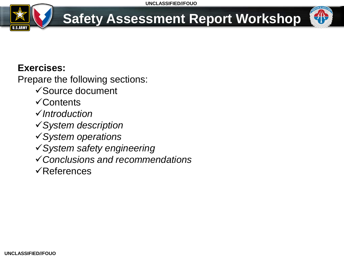

#### **Exercises:**

Prepare the following sections:

- Source document
- **√Contents**
- *Introduction*
- *System description*
- *System operations*
- *System safety engineering*
- *Conclusions and recommendations*
- $\sqrt{\mathsf{References}}$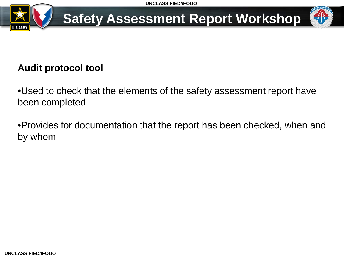

### **Audit protocol tool**

•Used to check that the elements of the safety assessment report have been completed

•Provides for documentation that the report has been checked, when and by whom